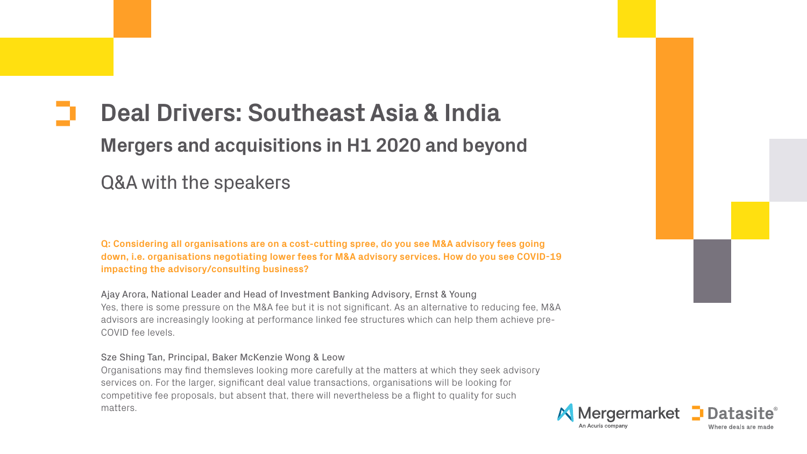# **Deal Drivers: Southeast Asia & India Mergers and acquisitions in H1 2020 and beyond**

Q&A with the speakers

**Q: Considering all organisations are on a cost-cutting spree, do you see M&A advisory fees going down, i.e. organisations negotiating lower fees for M&A advisory services. How do you see COVID-19 impacting the advisory/consulting business?**

Ajay Arora, National Leader and Head of Investment Banking Advisory, Ernst & Young Yes, there is some pressure on the M&A fee but it is not significant. As an alternative to reducing fee, M&A advisors are increasingly looking at performance linked fee structures which can help them achieve pre-COVID fee levels.

# Sze Shing Tan, Principal, Baker McKenzie Wong & Leow

Organisations may find themsleves looking more carefully at the matters at which they seek advisory services on. For the larger, significant deal value transactions, organisations will be looking for competitive fee proposals, but absent that, there will nevertheless be a flight to quality for such matters.



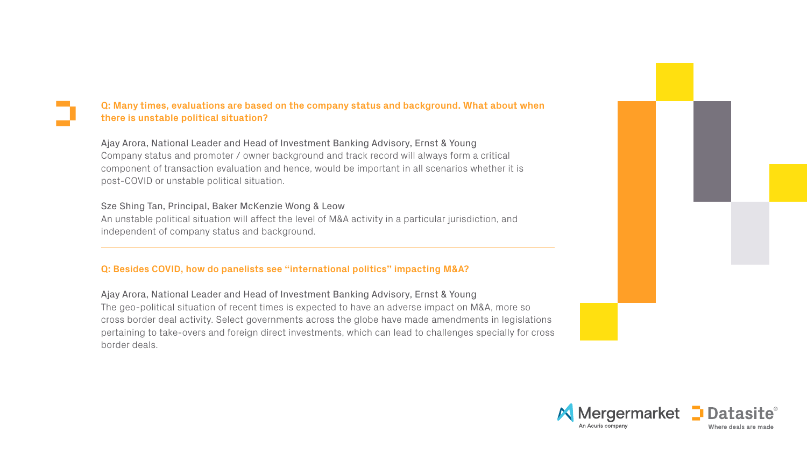# **Q: Many times, evaluations are based on the company status and background. What about when there is unstable political situation?**

Ajay Arora, National Leader and Head of Investment Banking Advisory, Ernst & Young Company status and promoter / owner background and track record will always form a critical component of transaction evaluation and hence, would be important in all scenarios whether it is post-COVID or unstable political situation.

# Sze Shing Tan, Principal, Baker McKenzie Wong & Leow

An unstable political situation will affect the level of M&A activity in a particular jurisdiction, and independent of company status and background.

# **Q: Besides COVID, how do panelists see "international politics" impacting M&A?**

Ajay Arora, National Leader and Head of Investment Banking Advisory, Ernst & Young The geo-political situation of recent times is expected to have an adverse impact on M&A, more so cross border deal activity. Select governments across the globe have made amendments in legislations pertaining to take-overs and foreign direct investments, which can lead to challenges specially for cross border deals.



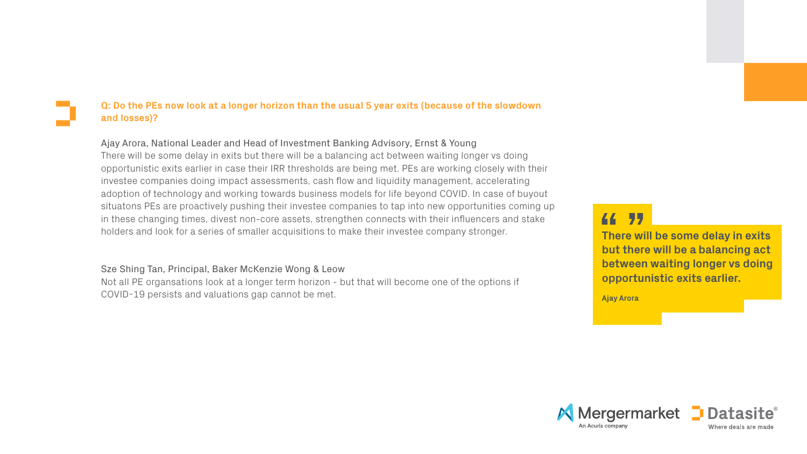# **Q: Do the PEs now look at a longer horizon than the usual 5 year exits (because of the slowdown and losses)?**

Ajay Arora, National Leader and Head of Investment Banking Advisory, Ernst & Young There will be some delay in exits but there will be a balancing act between waiting longer vs doing opportunistic exits earlier in case their IRR thresholds are being met. PEs are working closely with their investee companies doing impact assessments, cash flow and liquidity management, accelerating adoption of technology and working towards business models for life beyond COVID. In case of buyout situatons PEs are proactively pushing their investee companies to tap into new opportunities coming up in these changing times, divest non-core assets, strengthen connects with their influencers and stake holders and look for a series of smaller acquisitions to make their investee company stronger.

77 **There will be some delay in exits but there will be a balancing act between waiting longer vs doing opportunistic exits earlier.**

44 **Ajay Arora**



# Sze Shing Tan, Principal, Baker McKenzie Wong & Leow

Not all PE organsations look at a longer term horizon - but that will become one of the options if COVID-19 persists and valuations gap cannot be met.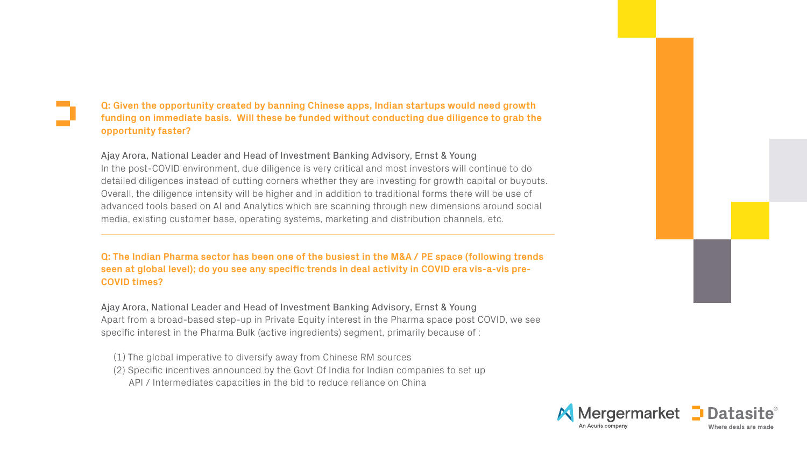# **Q: Given the opportunity created by banning Chinese apps, Indian startups would need growth funding on immediate basis. Will these be funded without conducting due diligence to grab the opportunity faster?**

Ajay Arora, National Leader and Head of Investment Banking Advisory, Ernst & Young In the post-COVID environment, due diligence is very critical and most investors will continue to do detailed diligences instead of cutting corners whether they are investing for growth capital or buyouts. Overall, the diligence intensity will be higher and in addition to traditional forms there will be use of advanced tools based on AI and Analytics which are scanning through new dimensions around social media, existing customer base, operating systems, marketing and distribution channels, etc.

# **Q: The Indian Pharma sector has been one of the busiest in the M&A / PE space (following trends seen at global level); do you see any specific trends in deal activity in COVID era vis-a-vis pre-COVID times?**

Ajay Arora, National Leader and Head of Investment Banking Advisory, Ernst & Young Apart from a broad-based step-up in Private Equity interest in the Pharma space post COVID, we see specific interest in the Pharma Bulk (active ingredients) segment, primarily because of :

- (1) The global imperative to diversify away from Chinese RM sources
- (2) Specific incentives announced by the Govt Of India for Indian companies to set up API / Intermediates capacities in the bid to reduce reliance on China



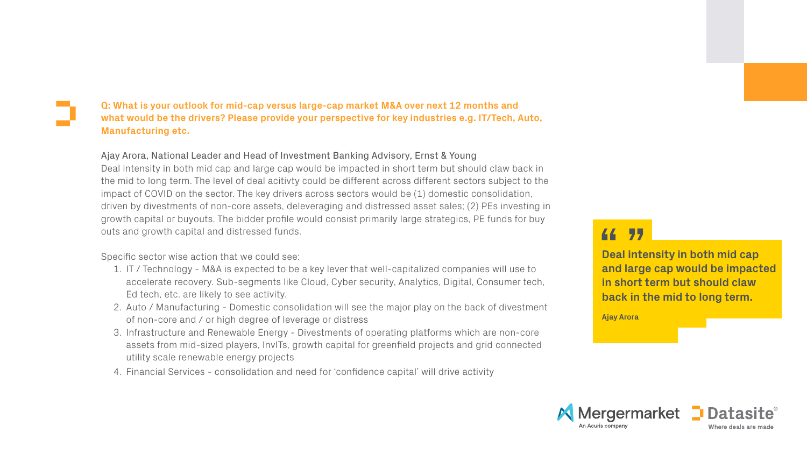**Deal intensity in both mid cap and large cap would be impacted in short term but should claw back in the mid to long term.**



**Ajay Arora**

**Q: What is your outlook for mid-cap versus large-cap market M&A over next 12 months and what would be the drivers? Please provide your perspective for key industries e.g. IT/Tech, Auto, Manufacturing etc.**

Ajay Arora, National Leader and Head of Investment Banking Advisory, Ernst & Young Deal intensity in both mid cap and large cap would be impacted in short term but should claw back in the mid to long term. The level of deal acitivty could be different across different sectors subject to the impact of COVID on the sector. The key drivers across sectors would be (1) domestic consolidation, driven by divestments of non-core assets, deleveraging and distressed asset sales; (2) PEs investing in growth capital or buyouts. The bidder profile would consist primarily large strategics, PE funds for buy outs and growth capital and distressed funds.

Specific sector wise action that we could see:

- 1. IT / Technology M&A is expected to be a key lever that well-capitalized companies will use to accelerate recovery. Sub-segments like Cloud, Cyber security, Analytics, Digital, Consumer tech, Ed tech, etc. are likely to see activity.
- 2. Auto / Manufacturing Domestic consolidation will see the major play on the back of divestment of non-core and / or high degree of leverage or distress
- 3. Infrastructure and Renewable Energy Divestments of operating platforms which are non-core assets from mid-sized players, InvITs, growth capital for greenfield projects and grid connected utility scale renewable energy projects
- 4. Financial Services consolidation and need for 'confidence capital' will drive activity

# 77 44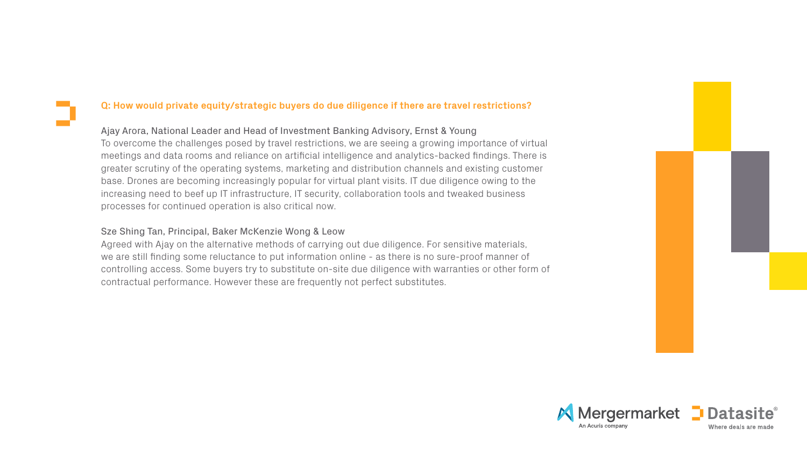# **Q: How would private equity/strategic buyers do due diligence if there are travel restrictions?**

## Ajay Arora, National Leader and Head of Investment Banking Advisory, Ernst & Young

To overcome the challenges posed by travel restrictions, we are seeing a growing importance of virtual meetings and data rooms and reliance on artificial intelligence and analytics-backed findings. There is greater scrutiny of the operating systems, marketing and distribution channels and existing customer base. Drones are becoming increasingly popular for virtual plant visits. IT due diligence owing to the increasing need to beef up IT infrastructure, IT security, collaboration tools and tweaked business processes for continued operation is also critical now.

# Sze Shing Tan, Principal, Baker McKenzie Wong & Leow

Agreed with Ajay on the alternative methods of carrying out due diligence. For sensitive materials, we are still finding some reluctance to put information online - as there is no sure-proof manner of controlling access. Some buyers try to substitute on-site due diligence with warranties or other form of contractual performance. However these are frequently not perfect substitutes.



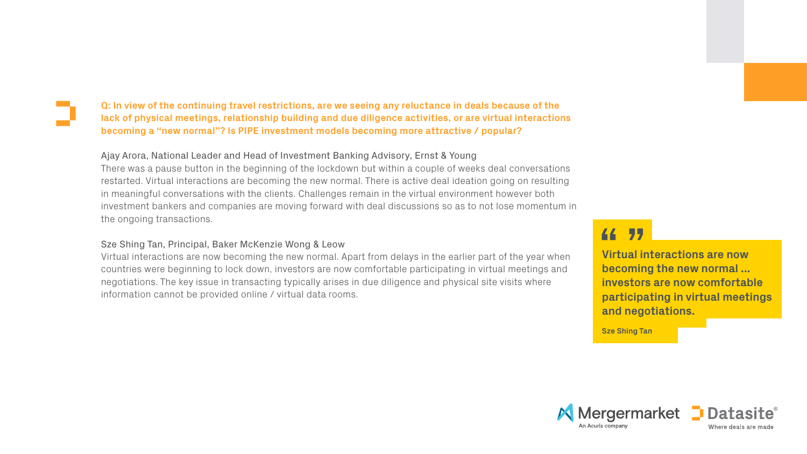**Virtual interactions are now becoming the new normal ... investors are now comfortable participating in virtual meetings and negotiations.**

**Sze Shing Tan**



# 77

**Q: In view of the continuing travel restrictions, are we seeing any reluctance in deals because of the lack of physical meetings, relationship building and due diligence activities, or are virtual interactions becoming a "new normal"? Is PIPE investment models becoming more attractive / popular?**

# Ajay Arora, National Leader and Head of Investment Banking Advisory, Ernst & Young

There was a pause button in the beginning of the lockdown but within a couple of weeks deal conversations restarted. Virtual interactions are becoming the new normal. There is active deal ideation going on resulting in meaningful conversations with the clients. Challenges remain in the virtual environment however both investment bankers and companies are moving forward with deal discussions so as to not lose momentum in the ongoing transactions.

# Sze Shing Tan, Principal, Baker McKenzie Wong & Leow

Virtual interactions are now becoming the new normal. Apart from delays in the earlier part of the year when countries were beginning to lock down, investors are now comfortable participating in virtual meetings and negotiations. The key issue in transacting typically arises in due diligence and physical site visits where information cannot be provided online / virtual data rooms.

# 44